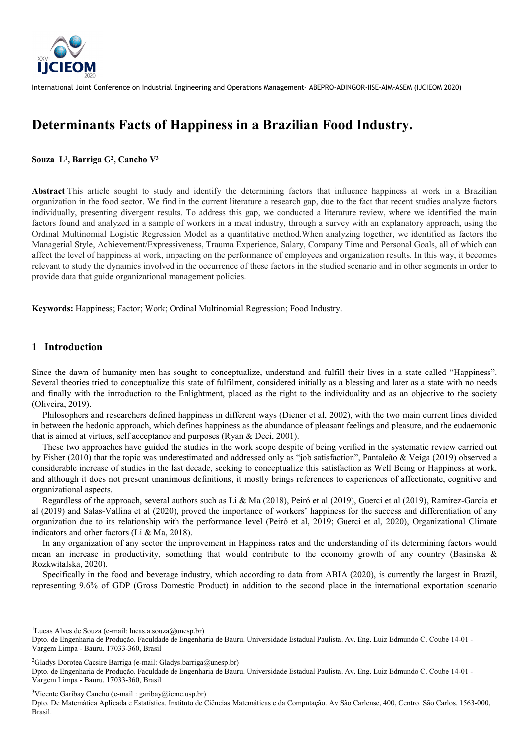

# Determinants Facts of Happiness in a Brazilian Food Industry.

## Souza L<sup>1</sup>, Barriga G<sup>2</sup>, Cancho V<sup>3</sup>

Abstract This article sought to study and identify the determining factors that influence happiness at work in a Brazilian organization in the food sector. We find in the current literature a research gap, due to the fact that recent studies analyze factors individually, presenting divergent results. To address this gap, we conducted a literature review, where we identified the main factors found and analyzed in a sample of workers in a meat industry, through a survey with an explanatory approach, using the Ordinal Multinomial Logistic Regression Model as a quantitative method.When analyzing together, we identified as factors the Managerial Style, Achievement/Expressiveness, Trauma Experience, Salary, Company Time and Personal Goals, all of which can affect the level of happiness at work, impacting on the performance of employees and organization results. In this way, it becomes relevant to study the dynamics involved in the occurrence of these factors in the studied scenario and in other segments in order to provide data that guide organizational management policies.

Keywords: Happiness; Factor; Work; Ordinal Multinomial Regression; Food Industry.

# 1 Introduction

 $\overline{a}$ 

Since the dawn of humanity men has sought to conceptualize, understand and fulfill their lives in a state called "Happiness". Several theories tried to conceptualize this state of fulfilment, considered initially as a blessing and later as a state with no needs and finally with the introduction to the Enlightment, placed as the right to the individuality and as an objective to the society (Oliveira, 2019).

Philosophers and researchers defined happiness in different ways (Diener et al, 2002), with the two main current lines divided in between the hedonic approach, which defines happiness as the abundance of pleasant feelings and pleasure, and the eudaemonic that is aimed at virtues, self acceptance and purposes (Ryan & Deci, 2001).

These two approaches have guided the studies in the work scope despite of being verified in the systematic review carried out by Fisher (2010) that the topic was underestimated and addressed only as "job satisfaction", Pantaleão & Veiga (2019) observed a considerable increase of studies in the last decade, seeking to conceptualize this satisfaction as Well Being or Happiness at work, and although it does not present unanimous definitions, it mostly brings references to experiences of affectionate, cognitive and organizational aspects.

Regardless of the approach, several authors such as Li & Ma (2018), Peiró et al (2019), Guerci et al (2019), Ramirez-Garcia et al (2019) and Salas-Vallina et al (2020), proved the importance of workers' happiness for the success and differentiation of any organization due to its relationship with the performance level (Peiró et al, 2019; Guerci et al, 2020), Organizational Climate indicators and other factors (Li & Ma, 2018).

In any organization of any sector the improvement in Happiness rates and the understanding of its determining factors would mean an increase in productivity, something that would contribute to the economy growth of any country (Basinska & Rozkwitalska, 2020).

Specifically in the food and beverage industry, which according to data from ABIA (2020), is currently the largest in Brazil, representing 9.6% of GDP (Gross Domestic Product) in addition to the second place in the international exportation scenario

<sup>3</sup>Vicente Garibay Cancho (e-mail : garibay@icmc.usp.br)

Dpto. De Matemática Aplicada e Estatística. Instituto de Ciências Matemáticas e da Computação. Av São Carlense, 400, Centro. São Carlos. 1563-000, Brasil.

<sup>&</sup>lt;sup>1</sup>Lucas Alves de Souza (e-mail: lucas.a.souza@unesp.br)

Dpto. de Engenharia de Produção. Faculdade de Engenharia de Bauru. Universidade Estadual Paulista. Av. Eng. Luiz Edmundo C. Coube 14-01 - Vargem Limpa - Bauru. 17033-360, Brasil

<sup>&</sup>lt;sup>2</sup>Gladys Dorotea Cacsire Barriga (e-mail: Gladys.barriga@unesp.br)

Dpto. de Engenharia de Produção. Faculdade de Engenharia de Bauru. Universidade Estadual Paulista. Av. Eng. Luiz Edmundo C. Coube 14-01 - Vargem Limpa - Bauru. 17033-360, Brasil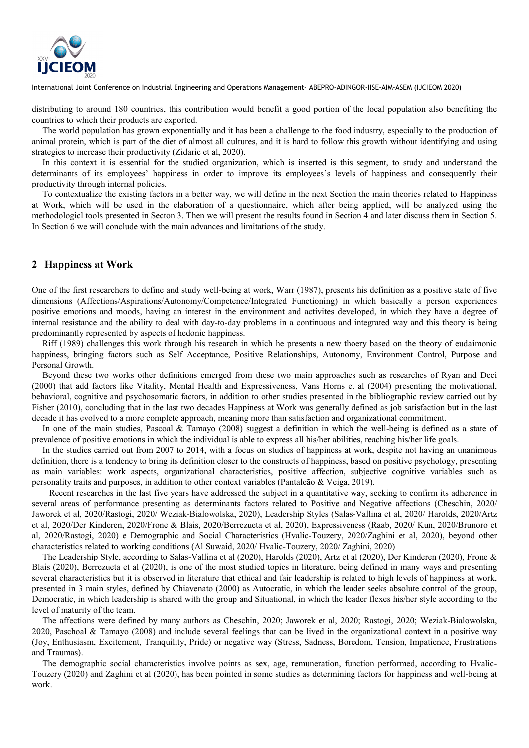

distributing to around 180 countries, this contribution would benefit a good portion of the local population also benefiting the countries to which their products are exported.

The world population has grown exponentially and it has been a challenge to the food industry, especially to the production of animal protein, which is part of the diet of almost all cultures, and it is hard to follow this growth without identifying and using strategies to increase their productivity (Zidaric et al, 2020).

In this context it is essential for the studied organization, which is inserted is this segment, to study and understand the determinants of its employees' happiness in order to improve its employees's levels of happiness and consequently their productivity through internal policies.

To contextualize the existing factors in a better way, we will define in the next Section the main theories related to Happiness at Work, which will be used in the elaboration of a questionnaire, which after being applied, will be analyzed using the methodologicl tools presented in Secton 3. Then we will present the results found in Section 4 and later discuss them in Section 5. In Section 6 we will conclude with the main advances and limitations of the study.

# 2 Happiness at Work

One of the first researchers to define and study well-being at work, Warr (1987), presents his definition as a positive state of five dimensions (Affections/Aspirations/Autonomy/Competence/Integrated Functioning) in which basically a person experiences positive emotions and moods, having an interest in the environment and activites developed, in which they have a degree of internal resistance and the ability to deal with day-to-day problems in a continuous and integrated way and this theory is being predominantly represented by aspects of hedonic happiness.

Riff (1989) challenges this work through his research in which he presents a new thoery based on the theory of eudaimonic happiness, bringing factors such as Self Acceptance, Positive Relationships, Autonomy, Environment Control, Purpose and Personal Growth.

Beyond these two works other definitions emerged from these two main approaches such as researches of Ryan and Deci (2000) that add factors like Vitality, Mental Health and Expressiveness, Vans Horns et al (2004) presenting the motivational, behavioral, cognitive and psychosomatic factors, in addition to other studies presented in the bibliographic review carried out by Fisher (2010), concluding that in the last two decades Happiness at Work was generally defined as job satisfaction but in the last decade it has evolved to a more complete approach, meaning more than satisfaction and organizational commitment.

In one of the main studies, Pascoal & Tamayo (2008) suggest a definition in which the well-being is defined as a state of prevalence of positive emotions in which the individual is able to express all his/her abilities, reaching his/her life goals.

In the studies carried out from 2007 to 2014, with a focus on studies of happiness at work, despite not having an unanimous definition, there is a tendency to bring its definition closer to the constructs of happiness, based on positive psychology, presenting as main variables: work aspects, organizational characteristics, positive affection, subjective cognitive variables such as personality traits and purposes, in addition to other context variables (Pantaleão & Veiga, 2019).

 Recent researches in the last five years have addressed the subject in a quantitative way, seeking to confirm its adherence in several areas of performance presenting as determinants factors related to Positive and Negative affections (Cheschin, 2020/ Jaworek et al, 2020/Rastogi, 2020/ Weziak-Bialowolska, 2020), Leadership Styles (Salas-Vallina et al, 2020/ Harolds, 2020/Artz et al, 2020/Der Kinderen, 2020/Frone & Blais, 2020/Berrezueta et al, 2020), Expressiveness (Raab, 2020/ Kun, 2020/Brunoro et al, 2020/Rastogi, 2020) e Demographic and Social Characteristics (Hvalic-Touzery, 2020/Zaghini et al, 2020), beyond other characteristics related to working conditions (Al Suwaid, 2020/ Hvalic-Touzery, 2020/ Zaghini, 2020)

The Leadership Style, according to Salas-Vallina et al (2020), Harolds (2020), Artz et al (2020), Der Kinderen (2020), Frone & Blais (2020), Berrezueta et al (2020), is one of the most studied topics in literature, being defined in many ways and presenting several characteristics but it is observed in literature that ethical and fair leadership is related to high levels of happiness at work, presented in 3 main styles, defined by Chiavenato (2000) as Autocratic, in which the leader seeks absolute control of the group, Democratic, in which leadership is shared with the group and Situational, in which the leader flexes his/her style according to the level of maturity of the team.

The affections were defined by many authors as Cheschin, 2020; Jaworek et al, 2020; Rastogi, 2020; Weziak-Bialowolska, 2020, Paschoal & Tamayo (2008) and include several feelings that can be lived in the organizational context in a positive way (Joy, Enthusiasm, Excitement, Tranquility, Pride) or negative way (Stress, Sadness, Boredom, Tension, Impatience, Frustrations and Traumas).

The demographic social characteristics involve points as sex, age, remuneration, function performed, according to Hvalic-Touzery (2020) and Zaghini et al (2020), has been pointed in some studies as determining factors for happiness and well-being at work.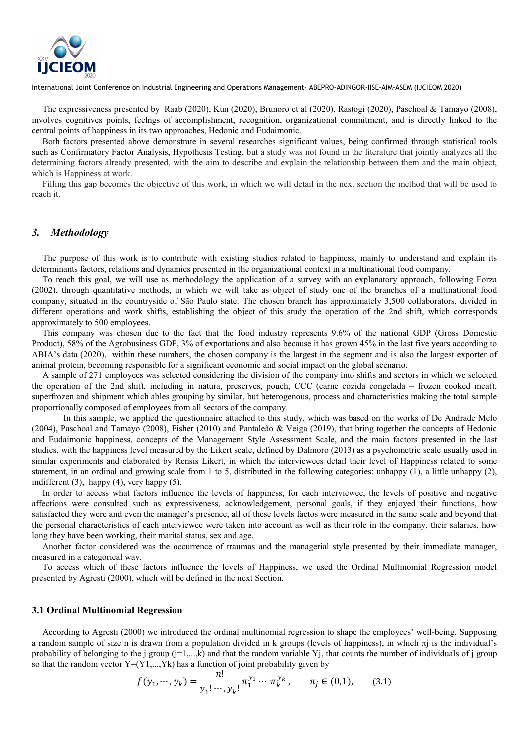

The expressiveness presented by Raab (2020), Kun (2020), Brunoro et al (2020), Rastogi (2020), Paschoal & Tamayo (2008), involves cognitives points, feelngs of accomplishment, recognition, organizational commitment, and is directly linked to the central points of happiness in its two approaches, Hedonic and Eudaimonic.

Both factors presented above demonstrate in several researches significant values, being confirmed through statistical tools such as Confirmatory Factor Analysis, Hypothesis Testing, but a study was not found in the literature that jointly analyzes all the determining factors already presented, with the aim to describe and explain the relationship between them and the main object, which is Happiness at work.

Filling this gap becomes the objective of this work, in which we will detail in the next section the method that will be used to reach it.

# 3. Methodology

The purpose of this work is to contribute with existing studies related to happiness, mainly to understand and explain its determinants factors, relations and dynamics presented in the organizational context in a multinational food company.

To reach this goal, we will use as methodology the application of a survey with an explanatory approach, following Forza (2002), through quantitative methods, in which we will take as object of study one of the branches of a multinational food company, situated in the countryside of São Paulo state. The chosen branch has approximately 3,500 collaborators, divided in different operations and work shifts, establishing the object of this study the operation of the 2nd shift, which corresponds approximately to 500 employees.

This company was chosen due to the fact that the food industry represents 9.6% of the national GDP (Gross Domestic Product), 58% of the Agrobusiness GDP, 3% of exportations and also because it has grown 45% in the last five years according to ABIA's data (2020), within these numbers, the chosen company is the largest in the segment and is also the largest exporter of animal protein, becoming responsible for a significant economic and social impact on the global scenario.

A sample of 271 employees was selected considering the division of the company into shifts and sectors in which we selected the operation of the 2nd shift, including in natura, preserves, pouch, CCC (carne cozida congelada – frozen cooked meat), superfrozen and shipment which ables grouping by similar, but heterogenous, process and characteristics making the total sample proportionally composed of employees from all sectors of the company.

In this sample, we applied the questionnaire attached to this study, which was based on the works of De Andrade Melo (2004), Paschoal and Tamayo (2008), Fisher (2010) and Pantaleão & Veiga (2019), that bring together the concepts of Hedonic and Eudaimonic happiness, concepts of the Management Style Assessment Scale, and the main factors presented in the last studies, with the happiness level measured by the Likert scale, defined by Dalmoro (2013) as a psychometric scale usually used in similar experiments and elaborated by Rensis Likert, in which the interviewees detail their level of Happiness related to some statement, in an ordinal and growing scale from 1 to 5, distributed in the following categories: unhappy (1), a little unhappy (2), indifferent (3), happy (4), very happy (5).

In order to access what factors influence the levels of happiness, for each interviewee, the levels of positive and negative affections were consulted such as expressiveness, acknowledgement, personal goals, if they enjoyed their functions, how satisfacted they were and even the manager's presence, all of these levels factos were measured in the same scale and beyond that the personal characteristics of each interviewee were taken into account as well as their role in the company, their salaries, how long they have been working, their marital status, sex and age.

Another factor considered was the occurrence of traumas and the managerial style presented by their immediate manager, measured in a categorical way.

To access which of these factors influence the levels of Happiness, we used the Ordinal Multinomial Regression model presented by Agresti (2000), which will be defined in the next Section.

#### 3.1 Ordinal Multinomial Regression

According to Agresti (2000) we introduced the ordinal multinomial regression to shape the employees' well-being. Supposing a random sample of size n is drawn from a population divided in k groups (levels of happiness), in which  $\pi j$  is the individual's probability of belonging to the j group  $(j=1,...,k)$  and that the random variable Yj, that counts the number of individuals of j group so that the random vector  $Y=(Y1,...,Yk)$  has a function of joint probability given by

$$
f(y_1, \cdots, y_k) = \frac{n!}{y_1! \cdots, y_k!} \pi_1^{y_1} \cdots \pi_k^{y_k}, \qquad \pi_j \in (0, 1), \tag{3.1}
$$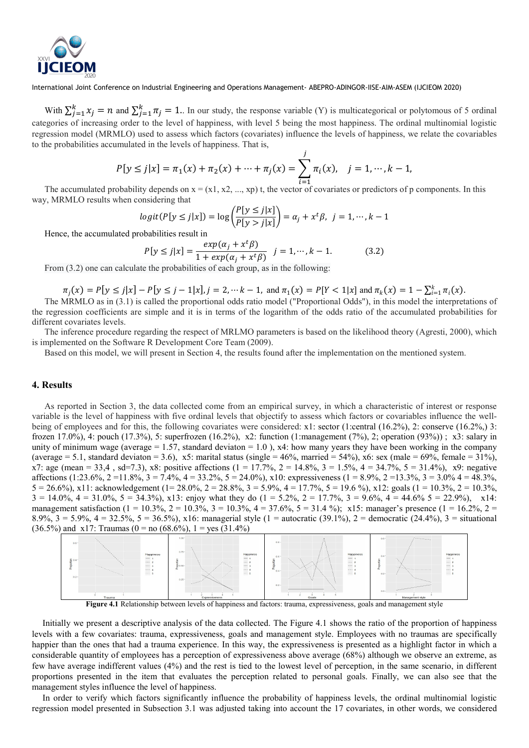

With  $\sum_{j=1}^{k} x_j = n$  and  $\sum_{j=1}^{k} \pi_j = 1$ . In our study, the response variable (Y) is multicategorical or polytomous of 5 ordinal categories of increasing order to the level of happiness, with level 5 being the most happiness. The ordinal multinomial logistic regression model (MRMLO) used to assess which factors (covariates) influence the levels of happiness, we relate the covariables to the probabilities accumulated in the levels of happiness. That is,

$$
P[y \le j|x] = \pi_1(x) + \pi_2(x) + \dots + \pi_j(x) = \sum_{i=1}^j \pi_i(x), \quad j = 1, \dots, k-1,
$$

The accumulated probability depends on  $x = (x1, x2, ..., xp)$  t, the vector of covariates or predictors of p components. In this way, MRMLO results when considering that

$$
logit(P[y \le j|x]) = log\left(\frac{P[y \le j|x]}{P[y > j|x]}\right) = \alpha_j + x^t \beta, \ \ j = 1, \cdots, k-1
$$

Hence, the accumulated probabilities result in

$$
P[y \le j|x] = \frac{exp(\alpha_j + x^t \beta)}{1 + exp(\alpha_j + x^t \beta)} \quad j = 1, \cdots, k - 1.
$$
 (3.2)

From (3.2) one can calculate the probabilities of each group, as in the following:

$$
\pi_j(x) = P[y \le j|x] - P[y \le j - 1|x], j = 2, \dots k - 1, \text{ and } \pi_1(x) = P[Y < 1|x] \text{ and } \pi_k(x) = 1 - \sum_{i=1}^k \pi_i(x).
$$

The MRMLO as in (3.1) is called the proportional odds ratio model ("Proportional Odds"), in this model the interpretations of the regression coefficients are simple and it is in terms of the logarithm of the odds ratio of the accumulated probabilities for different covariates levels.

The inference procedure regarding the respect of MRLMO parameters is based on the likelihood theory (Agresti, 2000), which is implemented on the Software R Development Core Team (2009).

Based on this model, we will present in Section 4, the results found after the implementation on the mentioned system.

# 4. Results

As reported in Section 3, the data collected come from an empirical survey, in which a characteristic of interest or response variable is the level of happiness with five ordinal levels that objectify to assess which factors or covariables influence the wellbeing of employees and for this, the following covariates were considered: x1: sector (1:central (16.2%), 2: conserve (16.2%,) 3: frozen 17.0%), 4: pouch (17.3%), 5: superfrozen (16.2%), x2: function (1:management (7%), 2; operation (93%)) ; x3: salary in unity of minimum wage (average  $= 1.57$ , standard deviaton  $= 1.0$ ), x4: how many years they have been working in the company (average = 5.1, standard deviaton = 3.6), x5: marital status (single = 46%, married = 54%), x6: sex (male = 69%, female = 31%), x7: age (mean = 33,4, sd=7.3), x8: positive affections (1 = 17.7%, 2 = 14.8%, 3 = 1.5%, 4 = 34.7%, 5 = 31.4%), x9: negative affections (1:23.6%, 2 = 11.8%, 3 = 7.4%, 4 = 33.2%, 5 = 24.0%), x10: expressiveness (1 = 8.9%, 2 = 13.3%, 3 = 3.0% 4 = 48.3%,  $5 = 26.6\%$ , x11: acknowledgement (1= 28.0%, 2 = 28.8%, 3 = 5.9%, 4 = 17.7%, 5 = 19.6 %), x12: goals (1 = 10.3%, 2 = 10.3%,  $3 = 14.0\%, 4 = 31.0\%, 5 = 34.3\%$ , x13: enjoy what they do  $(1 = 5.2\%, 2 = 17.7\%, 3 = 9.6\%, 4 = 44.6\%$  5 = 22.9%), x14: management satisfaction (1 = 10.3%, 2 = 10.3%, 3 = 10.3%, 4 = 37.6%, 5 = 31.4 %); x15: manager's presence (1 = 16.2%, 2 = 8.9%,  $3 = 5.9\%$ ,  $4 = 32.5\%$ ,  $5 = 36.5\%$ ,  $x16$ : managerial style (1 = autocratic (39.1%), 2 = democratic (24.4%), 3 = situational  $(36.5\%)$  and x17: Traumas  $(0 = no (68.6\%).$  1 = yes  $(31.4\%)$ 



Figure 4.1 Relationship between levels of happiness and factors: trauma, expressiveness, goals and management style

Initially we present a descriptive analysis of the data collected. The Figure 4.1 shows the ratio of the proportion of happiness levels with a few covariates: trauma, expressiveness, goals and management style. Employees with no traumas are specifically happier than the ones that had a trauma experience. In this way, the expressiveness is presented as a highlight factor in which a considerable quantity of employees has a perception of expressiveness above average (68%) although we observe an extreme, as few have average indifferent values (4%) and the rest is tied to the lowest level of perception, in the same scenario, in different proportions presented in the item that evaluates the perception related to personal goals. Finally, we can also see that the management styles influence the level of happiness.

In order to verify which factors significantly influence the probability of happiness levels, the ordinal multinomial logistic regression model presented in Subsection 3.1 was adjusted taking into account the 17 covariates, in other words, we considered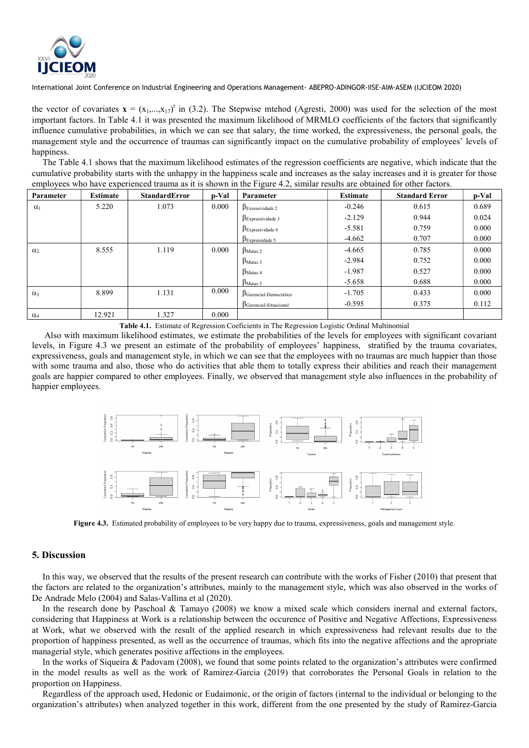

the vector of covariates  $\mathbf{x} = (x_1,...,x_{17})^t$  in (3.2). The Stepwise mtehod (Agresti, 2000) was used for the selection of the most important factors. In Table 4.1 it was presented the maximum likelihood of MRMLO coefficients of the factors that significantly influence cumulative probabilities, in which we can see that salary, the time worked, the expressiveness, the personal goals, the management style and the occurrence of traumas can significantly impact on the cumulative probability of employees' levels of happiness.

The Table 4.1 shows that the maximum likelihood estimates of the regression coefficients are negative, which indicate that the cumulative probability starts with the unhappy in the happiness scale and increases as the salay increases and it is greater for those employees who have experienced trauma as it is shown in the Figure 4.2, similar results are obtained for other factors.

| Parameter  | <b>Estimate</b> | <b>StandardError</b> | p-Val | Parameter                        | <b>Estimate</b> | <b>Standard Error</b> | p-Val |
|------------|-----------------|----------------------|-------|----------------------------------|-----------------|-----------------------|-------|
| $\alpha_1$ | 5.220           | 1.073                | 0.000 | $\beta_{\text{Exressividade 2}}$ | $-0.246$        | 0.615                 | 0.689 |
|            |                 |                      |       | $\beta$ Expressividade 3         | $-2.129$        | 0.944                 | 0.024 |
|            |                 |                      |       | $\beta$ Expresividade 4          | $-5.581$        | 0.759                 | 0.000 |
|            |                 |                      |       | $\beta_{\text{Expressidade 5}}$  | $-4.662$        | 0.707                 | 0.000 |
| $\alpha_2$ | 8.555           | 1.119                | 0.000 | $\beta_{\text{Metas 2}}$         | $-4.665$        | 0.785                 | 0.000 |
|            |                 |                      |       | $\beta_{\text{Meta}}$ 3          | $-2.984$        | 0.752                 | 0.000 |
|            |                 |                      |       | $\beta_{\text{Metas }4}$         | $-1.987$        | 0.527                 | 0.000 |
|            |                 |                      |       | $\beta_{\text{Metas }5}$         | $-5.658$        | 0.688                 | 0.000 |
| $\alpha_3$ | 8.899           | 1.131                | 0.000 | $\beta$ Gerencial-Democrático    | $-1.705$        | 0.433                 | 0.000 |
|            |                 |                      |       | $\beta$ Gerencial-Situacional    | $-0.595$        | 0.375                 | 0.112 |
| $\alpha_4$ | 12.921          | 1.327                | 0.000 |                                  |                 |                       |       |

Table 4.1. Estimate of Regression Coeficients in The Regression Logistic Ordinal Multinomial

Also with maximum likelihood estimates, we estimate the probabilities of the levels for employees with significant covariant levels, in Figure 4.3 we present an estimate of the probability of employees' happiness, stratified by the trauma covariates, expressiveness, goals and management style, in which we can see that the employees with no traumas are much happier than those with some trauma and also, those who do activities that able them to totally express their abilities and reach their management goals are happier compared to other employees. Finally, we observed that management style also influences in the probability of happier employees.



Figure 4.3. Estimated probability of employees to be very happy due to trauma, expressiveness, goals and management style.

#### 5. Discussion

In this way, we observed that the results of the present research can contribute with the works of Fisher (2010) that present that the factors are related to the organization's attributes, mainly to the management style, which was also observed in the works of De Andrade Melo (2004) and Salas-Vallina et al (2020).

In the research done by Paschoal & Tamayo (2008) we know a mixed scale which considers inernal and external factors, considering that Happiness at Work is a relationship between the occurence of Positive and Negative Affections, Expressiveness at Work, what we observed with the result of the applied research in which expressiveness had relevant results due to the proportion of happiness presented, as well as the occurrence of traumas, which fits into the negative affections and the apropriate managerial style, which generates positive affections in the employees.

In the works of Siqueira & Padovam (2008), we found that some points related to the organization's attributes were confirmed in the model results as well as the work of Ramirez-Garcia (2019) that corroborates the Personal Goals in relation to the proportion on Happiness.

Regardless of the approach used, Hedonic or Eudaimonic, or the origin of factors (internal to the individual or belonging to the organization's attributes) when analyzed together in this work, different from the one presented by the study of Ramirez-Garcia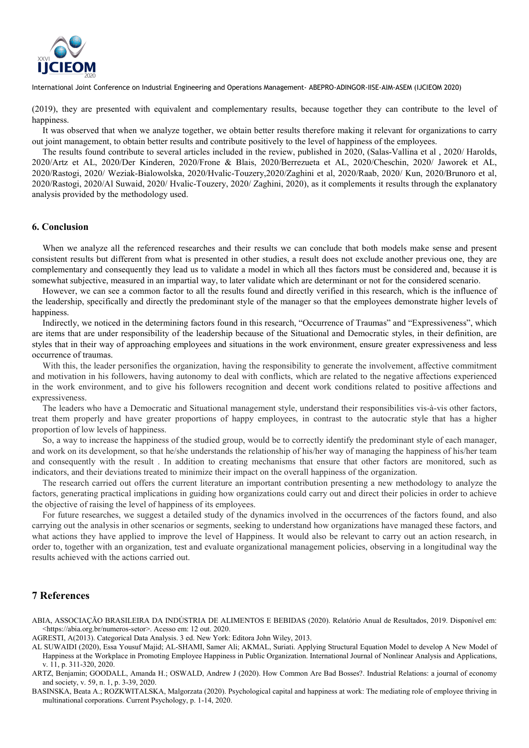

(2019), they are presented with equivalent and complementary results, because together they can contribute to the level of happiness.

It was observed that when we analyze together, we obtain better results therefore making it relevant for organizations to carry out joint management, to obtain better results and contribute positively to the level of happiness of the employees.

The results found contribute to several articles included in the review, published in 2020, (Salas-Vallina et al , 2020/ Harolds, 2020/Artz et AL, 2020/Der Kinderen, 2020/Frone & Blais, 2020/Berrezueta et AL, 2020/Cheschin, 2020/ Jaworek et AL, 2020/Rastogi, 2020/ Weziak-Bialowolska, 2020/Hvalic-Touzery,2020/Zaghini et al, 2020/Raab, 2020/ Kun, 2020/Brunoro et al, 2020/Rastogi, 2020/Al Suwaid, 2020/ Hvalic-Touzery, 2020/ Zaghini, 2020), as it complements it results through the explanatory analysis provided by the methodology used.

## 6. Conclusion

When we analyze all the referenced researches and their results we can conclude that both models make sense and present consistent results but different from what is presented in other studies, a result does not exclude another previous one, they are complementary and consequently they lead us to validate a model in which all thes factors must be considered and, because it is somewhat subjective, measured in an impartial way, to later validate which are determinant or not for the considered scenario.

However, we can see a common factor to all the results found and directly verified in this research, which is the influence of the leadership, specifically and directly the predominant style of the manager so that the employees demonstrate higher levels of happiness.

Indirectly, we noticed in the determining factors found in this research, "Occurrence of Traumas" and "Expressiveness", which are items that are under responsibility of the leadership because of the Situational and Democratic styles, in their definition, are styles that in their way of approaching employees and situations in the work environment, ensure greater expressiveness and less occurrence of traumas.

With this, the leader personifies the organization, having the responsibility to generate the involvement, affective commitment and motivation in his followers, having autonomy to deal with conflicts, which are related to the negative affections experienced in the work environment, and to give his followers recognition and decent work conditions related to positive affections and expressiveness.

The leaders who have a Democratic and Situational management style, understand their responsibilities vis-à-vis other factors, treat them properly and have greater proportions of happy employees, in contrast to the autocratic style that has a higher proportion of low levels of happiness.

So, a way to increase the happiness of the studied group, would be to correctly identify the predominant style of each manager, and work on its development, so that he/she understands the relationship of his/her way of managing the happiness of his/her team and consequently with the result . In addition to creating mechanisms that ensure that other factors are monitored, such as indicators, and their deviations treated to minimize their impact on the overall happiness of the organization.

The research carried out offers the current literature an important contribution presenting a new methodology to analyze the factors, generating practical implications in guiding how organizations could carry out and direct their policies in order to achieve the objective of raising the level of happiness of its employees.

For future researches, we suggest a detailed study of the dynamics involved in the occurrences of the factors found, and also carrying out the analysis in other scenarios or segments, seeking to understand how organizations have managed these factors, and what actions they have applied to improve the level of Happiness. It would also be relevant to carry out an action research, in order to, together with an organization, test and evaluate organizational management policies, observing in a longitudinal way the results achieved with the actions carried out.

## 7 References

- ABIA, ASSOCIAÇÃO BRASILEIRA DA INDÚSTRIA DE ALIMENTOS E BEBIDAS (2020). Relatório Anual de Resultados, 2019. Disponível em: <https://abia.org.br/numeros-setor>. Acesso em: 12 out. 2020.
- AGRESTI, A(2013). Categorical Data Analysis. 3 ed. New York: Editora John Wiley, 2013.
- AL SUWAIDI (2020), Essa Yousuf Majid; AL-SHAMI, Samer Ali; AKMAL, Suriati. Applying Structural Equation Model to develop A New Model of Happiness at the Workplace in Promoting Employee Happiness in Public Organization. International Journal of Nonlinear Analysis and Applications, v. 11, p. 311-320, 2020.
- ARTZ, Benjamin; GOODALL, Amanda H.; OSWALD, Andrew J (2020). How Common Are Bad Bosses?. Industrial Relations: a journal of economy and society, v. 59, n. 1, p. 3-39, 2020.
- BASINSKA, Beata A.; ROZKWITALSKA, Malgorzata (2020). Psychological capital and happiness at work: The mediating role of employee thriving in multinational corporations. Current Psychology, p. 1-14, 2020.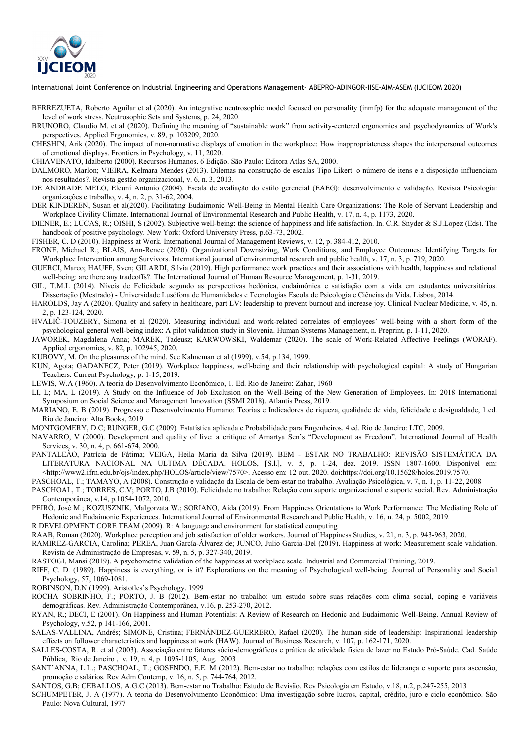

- BERREZUETA, Roberto Aguilar et al (2020). An integrative neutrosophic model focused on personality (inmfp) for the adequate management of the level of work stress. Neutrosophic Sets and Systems, p. 24, 2020.
- BRUNORO, Claudio M. et al (2020). Defining the meaning of "sustainable work" from activity-centered ergonomics and psychodynamics of Work's perspectives. Applied Ergonomics, v. 89, p. 103209, 2020.
- CHESHIN, Arik (2020). The impact of non-normative displays of emotion in the workplace: How inappropriateness shapes the interpersonal outcomes of emotional displays. Frontiers in Psychology, v. 11, 2020.
- CHIAVENATO, Idalberto (2000). Recursos Humanos. 6 Edição. São Paulo: Editora Atlas SA, 2000.
- DALMORO, Marlon; VIEIRA, Kelmara Mendes (2013). Dilemas na construção de escalas Tipo Likert: o número de itens e a disposição influenciam nos resultados?. Revista gestão organizacional, v. 6, n. 3, 2013.
- DE ANDRADE MELO, Eleuní Antonio (2004). Escala de avaliação do estilo gerencial (EAEG): desenvolvimento e validação. Revista Psicologia: organizações e trabalho, v. 4, n. 2, p. 31-62, 2004.
- DER KINDEREN, Susan et al(2020). Facilitating Eudaimonic Well-Being in Mental Health Care Organizations: The Role of Servant Leadership and Workplace Civility Climate. International Journal of Environmental Research and Public Health, v. 17, n. 4, p. 1173, 2020.
- DIENER, E.; LUCAS, R.; OISHI, S (2002). Subjective well-being: the science of happiness and life satisfaction. In. C.R. Snyder & S.J.Lopez (Eds). The handbook of positive psychology. New York: Oxford University Press, p.63-73, 2002.
- FISHER, C. D (2010). Happiness at Work. International Journal of Management Reviews, v. 12, p. 384-412, 2010.
- FRONE, Michael R.; BLAIS, Ann-Renee (2020). Organizational Downsizing, Work Conditions, and Employee Outcomes: Identifying Targets for Workplace Intervention among Survivors. International journal of environmental research and public health, v. 17, n. 3, p. 719, 2020.
- GUERCI, Marco; HAUFF, Sven; GILARDI, Silvia (2019). High performance work practices and their associations with health, happiness and relational well-being: are there any tradeoffs?. The International Journal of Human Resource Management, p. 1-31, 2019.
- GIL, T.M.L (2014). Níveis de Felicidade segundo as perspectivas hedónica, eudaimônica e satisfação com a vida em estudantes universitários. Dissertação (Mestrado) - Universidade Lusófona de Humanidades e Tecnologias Escola de Psicologia e Ciências da Vida. Lisboa, 2014.
- HAROLDS, Jay A (2020). Quality and safety in healthcare, part LV: leadership to prevent burnout and increase joy. Clinical Nuclear Medicine, v. 45, n. 2, p. 123-124, 2020.
- HVALIČ-TOUZERY, Simona et al (2020). Measuring individual and work-related correlates of employees' well-being with a short form of the psychological general well-being index: A pilot validation study in Slovenia. Human Systems Management, n. Preprint, p. 1-11, 2020.
- JAWOREK, Magdalena Anna; MAREK, Tadeusz; KARWOWSKI, Waldemar (2020). The scale of Work-Related Affective Feelings (WORAF). Applied ergonomics, v. 82, p. 102945, 2020.
- KUBOVY, M. On the pleasures of the mind. See Kahneman et al (1999), v.54, p.134, 1999.
- KUN, Agota; GADANECZ, Peter (2019). Workplace happiness, well-being and their relationship with psychological capital: A study of Hungarian Teachers. Current Psychology, p. 1-15, 2019.
- LEWIS, W.A (1960). A teoria do Desenvolvimento Econômico, 1. Ed. Rio de Janeiro: Zahar, 1960
- LI, L; MA, L (2019). A Study on the Influence of Job Exclusion on the Well-Being of the New Generation of Employees. In: 2018 International Symposium on Social Science and Management Innovation (SSMI 2018). Atlantis Press, 2019.
- MARIANO, E. B (2019). Progresso e Desenvolvimento Humano: Teorias e Indicadores de riqueza, qualidade de vida, felicidade e desigualdade, 1.ed. Rio de Janeiro: Alta Books, 2019
- MONTGOMERY, D.C; RUNGER, G.C (2009). Estatística aplicada e Probabilidade para Engenheiros. 4 ed. Rio de Janeiro: LTC, 2009.
- NAVARRO, V (2000). Development and quality of live: a critique of Amartya Sen's "Development as Freedom". International Journal of Health Services, v. 30, n. 4, p. 661-674, 2000.
- PANTALEÃO, Patrícia de Fátima; VEIGA, Heila Maria da Silva (2019). BEM ESTAR NO TRABALHO: REVISÃO SISTEMÁTICA DA LITERATURA NACIONAL NA ULTIMA DÉCADA. HOLOS, [S.l.], v. 5, p. 1-24, dez. 2019. ISSN 1807-1600. Disponível em: <http://www2.ifrn.edu.br/ojs/index.php/HOLOS/article/view/7570>. Acesso em: 12 out. 2020. doi:https://doi.org/10.15628/holos.2019.7570.
- PASCHOAL, T.; TAMAYO, A (2008). Construção e validação da Escala de bem-estar no trabalho. Avaliação Psicológica, v. 7, n. 1, p. 11-22, 2008
- PASCHOAL, T.; TORRES, C.V; PORTO, J.B (2010). Felicidade no trabalho: Relação com suporte organizacional e suporte social. Rev. Administração Contemporânea, v.14, p.1054-1072, 2010.
- PEIRÓ, José M.; KOZUSZNIK, Malgorzata W.; SORIANO, Aida (2019). From Happiness Orientations to Work Performance: The Mediating Role of Hedonic and Eudaimonic Experiences. International Journal of Environmental Research and Public Health, v. 16, n. 24, p. 5002, 2019.
- R DEVELOPMENT CORE TEAM (2009). R: A language and environment for statistical computing
- RAAB, Roman (2020). Workplace perception and job satisfaction of older workers. Journal of Happiness Studies, v. 21, n. 3, p. 943-963, 2020.
- RAMIREZ-GARCIA, Carolina; PEREA, Juan García-Álvarez de; JUNCO, Julio Garcia-Del (2019). Happiness at work: Measurement scale validation. Revista de Administração de Empresas, v. 59, n. 5, p. 327-340, 2019.
- RASTOGI, Mansi (2019). A psychometric validation of the happiness at workplace scale. Industrial and Commercial Training, 2019.
- RIFF, C. D. (1989). Happiness is everything, or is it? Explorations on the meaning of Psychological well-being. Journal of Personality and Social Psychology, 57, 1069-1081.
- ROBINSON, D.N (1999). Aristotles's Psychology. 1999
- ROCHA SOBRINHO, F.; PORTO, J. B (2012). Bem-estar no trabalho: um estudo sobre suas relações com clima social, coping e variáveis demográficas. Rev. Administração Contemporânea, v.16, p. 253-270, 2012.
- RYAN, R.; DECI, E (2001). On Happiness and Human Potentials: A Review of Research on Hedonic and Eudaimonic Well-Being. Annual Review of Psychology, v.52, p 141-166, 2001.
- SALAS-VALLINA, Andrés; SIMONE, Cristina; FERNÁNDEZ-GUERRERO, Rafael (2020). The human side of leadership: Inspirational leadership effects on follower characteristics and happiness at work (HAW). Journal of Business Research, v. 107, p. 162-171, 2020.
- SALLES-COSTA, R. et al (2003). Associação entre fatores sócio-demográficos e prática de atividade física de lazer no Estudo Pró-Saúde. Cad. Saúde Pública, Rio de Janeiro , v. 19, n. 4, p. 1095-1105, Aug. 2003
- SANT'ANNA, L.L.; PASCHOAL, T.; GOSENDO, E.E. M (2012). Bem-estar no trabalho: relações com estilos de liderança e suporte para ascensão, promoção e salários. Rev Adm Contemp, v. 16, n. 5, p. 744-764, 2012.
- SANTOS, G.B; CEBALLOS, A.G.C (2013). Bem-estar no Trabalho: Estudo de Revisão. Rev Psicologia em Estudo, v.18, n.2, p.247-255, 2013
- SCHUMPETER, J. A (1977). A teoria do Desenvolvimento Econômico: Uma investigação sobre lucros, capital, crédito, juro e ciclo econômico. São Paulo: Nova Cultural, 1977